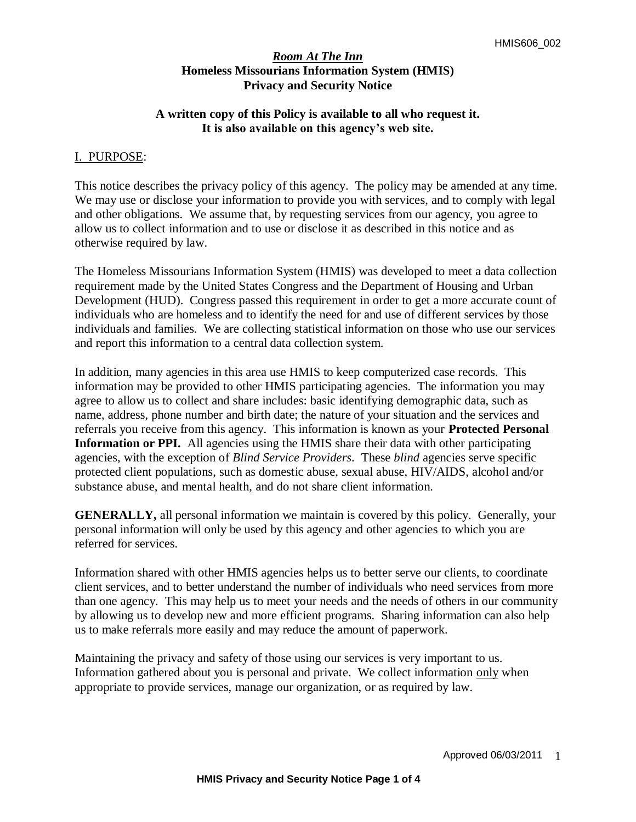## **A written copy of this Policy is available to all who request it. It is also available on this agency's web site.**

### I. PURPOSE:

This notice describes the privacy policy of this agency. The policy may be amended at any time. We may use or disclose your information to provide you with services, and to comply with legal and other obligations. We assume that, by requesting services from our agency, you agree to allow us to collect information and to use or disclose it as described in this notice and as otherwise required by law.

The Homeless Missourians Information System (HMIS) was developed to meet a data collection requirement made by the United States Congress and the Department of Housing and Urban Development (HUD). Congress passed this requirement in order to get a more accurate count of individuals who are homeless and to identify the need for and use of different services by those individuals and families. We are collecting statistical information on those who use our services and report this information to a central data collection system.

In addition, many agencies in this area use HMIS to keep computerized case records. This information may be provided to other HMIS participating agencies. The information you may agree to allow us to collect and share includes: basic identifying demographic data, such as name, address, phone number and birth date; the nature of your situation and the services and referrals you receive from this agency. This information is known as your **Protected Personal Information or PPI.** All agencies using the HMIS share their data with other participating agencies, with the exception of *Blind Service Providers*. These *blind* agencies serve specific protected client populations, such as domestic abuse, sexual abuse, HIV/AIDS, alcohol and/or substance abuse, and mental health, and do not share client information.

**GENERALLY,** all personal information we maintain is covered by this policy. Generally, your personal information will only be used by this agency and other agencies to which you are referred for services.

Information shared with other HMIS agencies helps us to better serve our clients, to coordinate client services, and to better understand the number of individuals who need services from more than one agency. This may help us to meet your needs and the needs of others in our community by allowing us to develop new and more efficient programs. Sharing information can also help us to make referrals more easily and may reduce the amount of paperwork.

Maintaining the privacy and safety of those using our services is very important to us. Information gathered about you is personal and private. We collect information only when appropriate to provide services, manage our organization, or as required by law.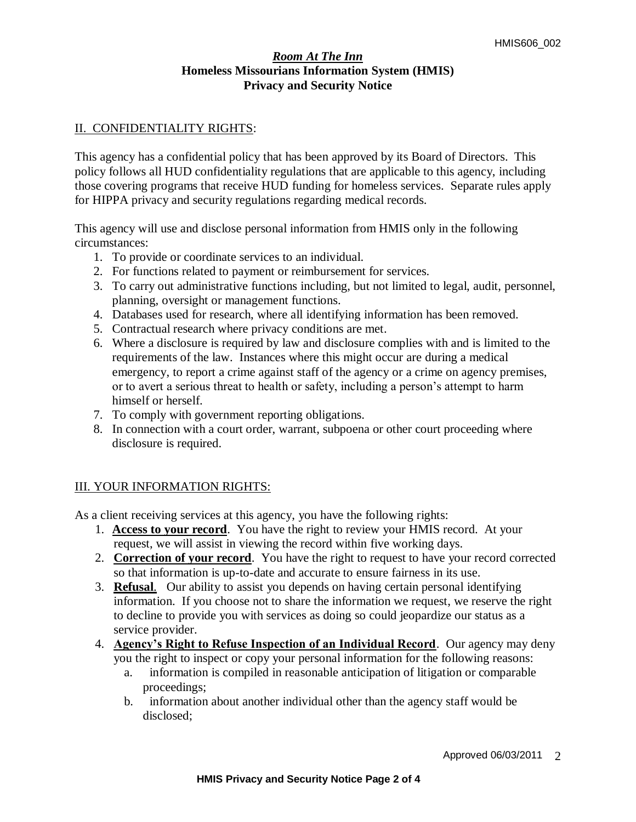## II. CONFIDENTIALITY RIGHTS:

This agency has a confidential policy that has been approved by its Board of Directors. This policy follows all HUD confidentiality regulations that are applicable to this agency, including those covering programs that receive HUD funding for homeless services. Separate rules apply for HIPPA privacy and security regulations regarding medical records.

This agency will use and disclose personal information from HMIS only in the following circumstances:

- 1. To provide or coordinate services to an individual.
- 2. For functions related to payment or reimbursement for services.
- 3. To carry out administrative functions including, but not limited to legal, audit, personnel, planning, oversight or management functions.
- 4. Databases used for research, where all identifying information has been removed.
- 5. Contractual research where privacy conditions are met.
- 6. Where a disclosure is required by law and disclosure complies with and is limited to the requirements of the law. Instances where this might occur are during a medical emergency, to report a crime against staff of the agency or a crime on agency premises, or to avert a serious threat to health or safety, including a person's attempt to harm himself or herself.
- 7. To comply with government reporting obligations.
- 8. In connection with a court order, warrant, subpoena or other court proceeding where disclosure is required.

## III. YOUR INFORMATION RIGHTS:

As a client receiving services at this agency, you have the following rights:

- 1. **Access to your record**. You have the right to review your HMIS record. At your request, we will assist in viewing the record within five working days.
- 2. **Correction of your record**. You have the right to request to have your record corrected so that information is up-to-date and accurate to ensure fairness in its use.
- 3. **Refusal**. Our ability to assist you depends on having certain personal identifying information. If you choose not to share the information we request, we reserve the right to decline to provide you with services as doing so could jeopardize our status as a service provider.
- 4. **Agency's Right to Refuse Inspection of an Individual Record**. Our agency may deny you the right to inspect or copy your personal information for the following reasons:
	- a. information is compiled in reasonable anticipation of litigation or comparable proceedings;
	- b. information about another individual other than the agency staff would be disclosed;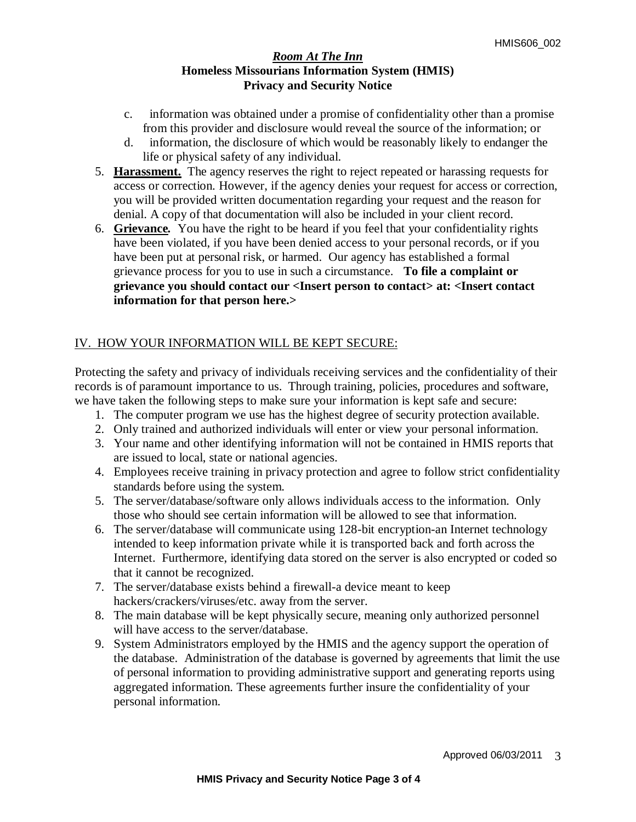- c. information was obtained under a promise of confidentiality other than a promise from this provider and disclosure would reveal the source of the information; or
- d. information, the disclosure of which would be reasonably likely to endanger the life or physical safety of any individual.
- 5. **Harassment.**The agency reserves the right to reject repeated or harassing requests for access or correction. However, if the agency denies your request for access or correction, you will be provided written documentation regarding your request and the reason for denial. A copy of that documentation will also be included in your client record.
- 6. **Grievance***.* You have the right to be heard if you feel that your confidentiality rights have been violated, if you have been denied access to your personal records, or if you have been put at personal risk, or harmed. Our agency has established a formal grievance process for you to use in such a circumstance.**To file a complaint or grievance you should contact our <Insert person to contact> at: <Insert contact information for that person here.>**

# IV. HOW YOUR INFORMATION WILL BE KEPT SECURE:

Protecting the safety and privacy of individuals receiving services and the confidentiality of their records is of paramount importance to us. Through training, policies, procedures and software, we have taken the following steps to make sure your information is kept safe and secure:

- 1. The computer program we use has the highest degree of security protection available.
- 2. Only trained and authorized individuals will enter or view your personal information.
- 3. Your name and other identifying information will not be contained in HMIS reports that are issued to local, state or national agencies.
- 4. Employees receive training in privacy protection and agree to follow strict confidentiality standards before using the system.
- 5. The server/database/software only allows individuals access to the information. Only those who should see certain information will be allowed to see that information.
- 6. The server/database will communicate using 128-bit encryption-an Internet technology intended to keep information private while it is transported back and forth across the Internet. Furthermore, identifying data stored on the server is also encrypted or coded so that it cannot be recognized.
- 7. The server/database exists behind a firewall-a device meant to keep hackers/crackers/viruses/etc. away from the server.
- 8. The main database will be kept physically secure, meaning only authorized personnel will have access to the server/database.
- 9. System Administrators employed by the HMIS and the agency support the operation of the database. Administration of the database is governed by agreements that limit the use of personal information to providing administrative support and generating reports using aggregated information. These agreements further insure the confidentiality of your personal information.